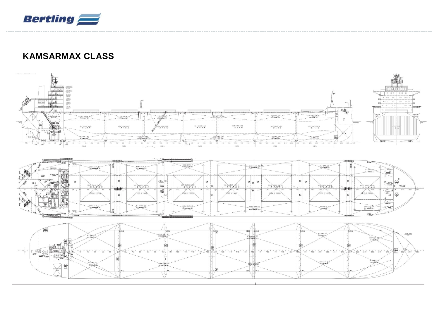

## **KAMSARMAX CLASS**